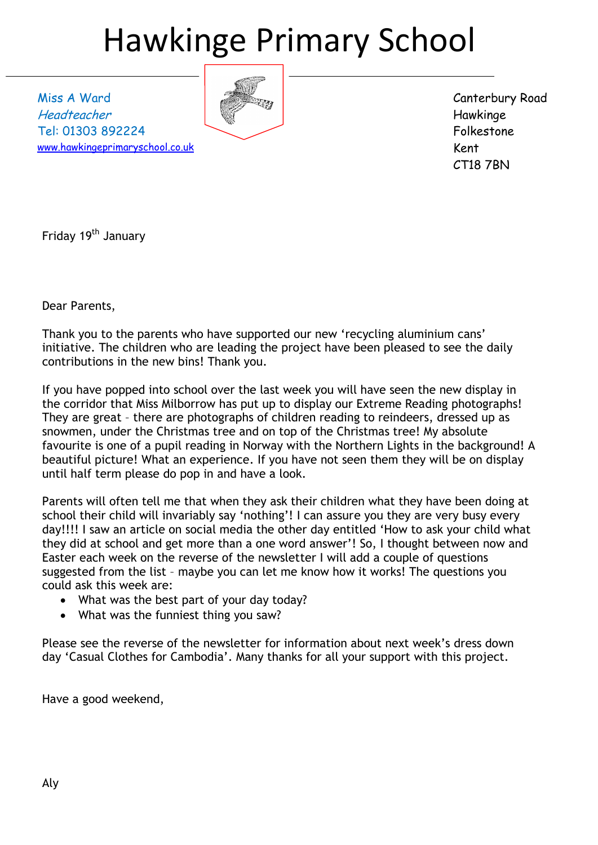# Hawkinge Primary School

Miss A Ward Headteacher Tel: 01303 892224 [www.hawkingeprimaryschool.co.uk](http://www.hawkingeprimaryschool.co.uk/)



Canterbury Road Hawkinge Folkestone Kent CT18 7BN

Friday 19<sup>th</sup> January

Dear Parents,

Thank you to the parents who have supported our new 'recycling aluminium cans' initiative. The children who are leading the project have been pleased to see the daily contributions in the new bins! Thank you.

If you have popped into school over the last week you will have seen the new display in the corridor that Miss Milborrow has put up to display our Extreme Reading photographs! They are great – there are photographs of children reading to reindeers, dressed up as snowmen, under the Christmas tree and on top of the Christmas tree! My absolute favourite is one of a pupil reading in Norway with the Northern Lights in the background! A beautiful picture! What an experience. If you have not seen them they will be on display until half term please do pop in and have a look.

Parents will often tell me that when they ask their children what they have been doing at school their child will invariably say 'nothing'! I can assure you they are very busy every day!!!! I saw an article on social media the other day entitled 'How to ask your child what they did at school and get more than a one word answer'! So, I thought between now and Easter each week on the reverse of the newsletter I will add a couple of questions suggested from the list – maybe you can let me know how it works! The questions you could ask this week are:

- What was the best part of your day today?
- What was the funniest thing you saw?

Please see the reverse of the newsletter for information about next week's dress down day 'Casual Clothes for Cambodia'. Many thanks for all your support with this project.

Have a good weekend,